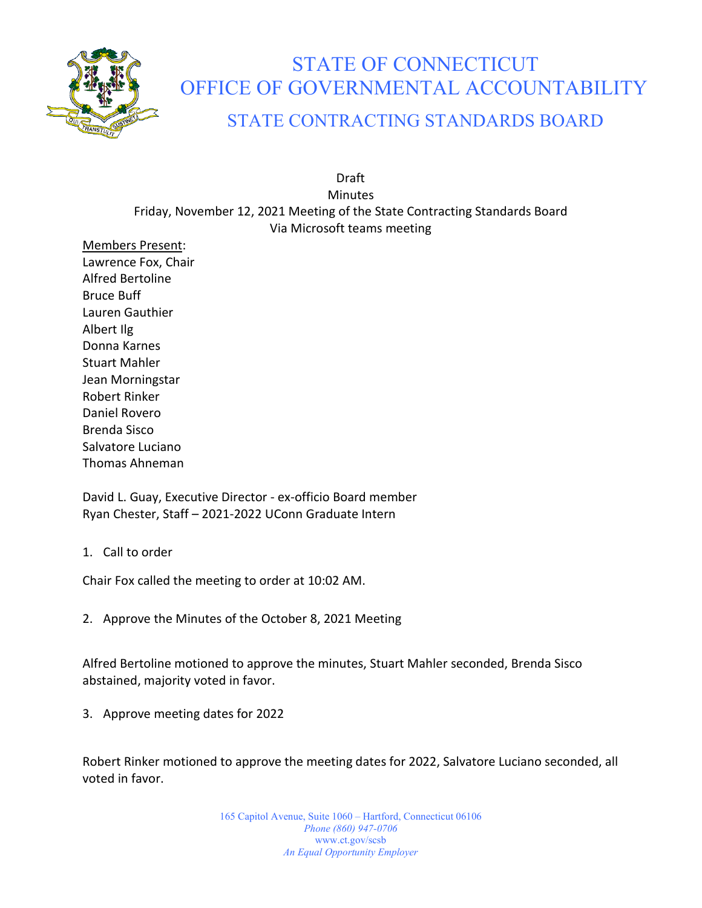

## STATE OF CONNECTICUT OFFICE OF GOVERNMENTAL ACCOUNTABILITY

## STATE CONTRACTING STANDARDS BOARD

Draft **Minutes** Friday, November 12, 2021 Meeting of the State Contracting Standards Board Via Microsoft teams meeting

Members Present: Lawrence Fox, Chair Alfred Bertoline Bruce Buff Lauren Gauthier Albert Ilg Donna Karnes Stuart Mahler Jean Morningstar Robert Rinker Daniel Rovero Brenda Sisco Salvatore Luciano Thomas Ahneman

David L. Guay, Executive Director - ex-officio Board member Ryan Chester, Staff – 2021-2022 UConn Graduate Intern

1. Call to order

Chair Fox called the meeting to order at 10:02 AM.

2. Approve the Minutes of the October 8, 2021 Meeting

Alfred Bertoline motioned to approve the minutes, Stuart Mahler seconded, Brenda Sisco abstained, majority voted in favor.

3. Approve meeting dates for 2022

Robert Rinker motioned to approve the meeting dates for 2022, Salvatore Luciano seconded, all voted in favor.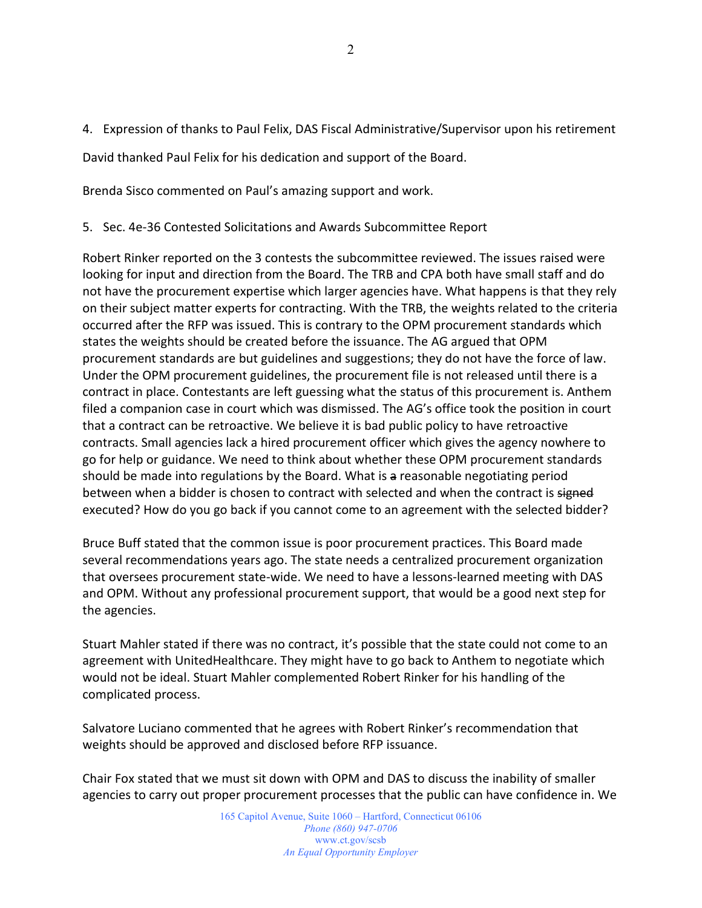4. Expression of thanks to Paul Felix, DAS Fiscal Administrative/Supervisor upon his retirement

David thanked Paul Felix for his dedication and support of the Board.

Brenda Sisco commented on Paul's amazing support and work.

5. Sec. 4e-36 Contested Solicitations and Awards Subcommittee Report

Robert Rinker reported on the 3 contests the subcommittee reviewed. The issues raised were looking for input and direction from the Board. The TRB and CPA both have small staff and do not have the procurement expertise which larger agencies have. What happens is that they rely on their subject matter experts for contracting. With the TRB, the weights related to the criteria occurred after the RFP was issued. This is contrary to the OPM procurement standards which states the weights should be created before the issuance. The AG argued that OPM procurement standards are but guidelines and suggestions; they do not have the force of law. Under the OPM procurement guidelines, the procurement file is not released until there is a contract in place. Contestants are left guessing what the status of this procurement is. Anthem filed a companion case in court which was dismissed. The AG's office took the position in court that a contract can be retroactive. We believe it is bad public policy to have retroactive contracts. Small agencies lack a hired procurement officer which gives the agency nowhere to go for help or guidance. We need to think about whether these OPM procurement standards should be made into regulations by the Board. What is a reasonable negotiating period between when a bidder is chosen to contract with selected and when the contract is signed executed? How do you go back if you cannot come to an agreement with the selected bidder?

Bruce Buff stated that the common issue is poor procurement practices. This Board made several recommendations years ago. The state needs a centralized procurement organization that oversees procurement state-wide. We need to have a lessons-learned meeting with DAS and OPM. Without any professional procurement support, that would be a good next step for the agencies.

Stuart Mahler stated if there was no contract, it's possible that the state could not come to an agreement with UnitedHealthcare. They might have to go back to Anthem to negotiate which would not be ideal. Stuart Mahler complemented Robert Rinker for his handling of the complicated process.

Salvatore Luciano commented that he agrees with Robert Rinker's recommendation that weights should be approved and disclosed before RFP issuance.

Chair Fox stated that we must sit down with OPM and DAS to discuss the inability of smaller agencies to carry out proper procurement processes that the public can have confidence in. We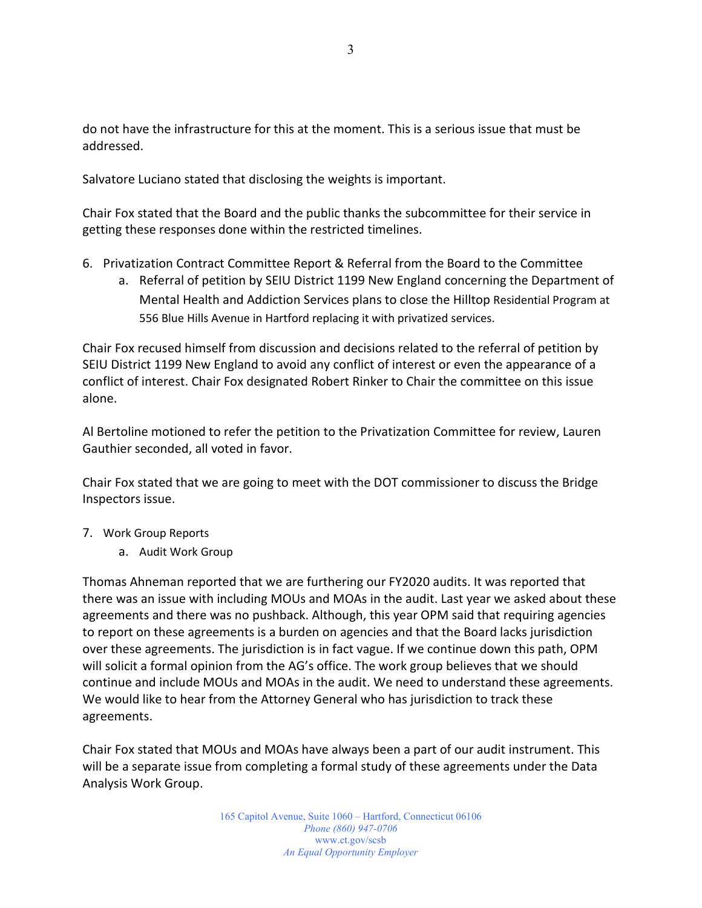do not have the infrastructure for this at the moment. This is a serious issue that must be addressed.

Salvatore Luciano stated that disclosing the weights is important.

Chair Fox stated that the Board and the public thanks the subcommittee for their service in getting these responses done within the restricted timelines.

- 6. Privatization Contract Committee Report & Referral from the Board to the Committee
	- a. Referral of petition by SEIU District 1199 New England concerning the Department of Mental Health and Addiction Services plans to close the Hilltop Residential Program at 556 Blue Hills Avenue in Hartford replacing it with privatized services.

Chair Fox recused himself from discussion and decisions related to the referral of petition by SEIU District 1199 New England to avoid any conflict of interest or even the appearance of a conflict of interest. Chair Fox designated Robert Rinker to Chair the committee on this issue alone.

Al Bertoline motioned to refer the petition to the Privatization Committee for review, Lauren Gauthier seconded, all voted in favor.

Chair Fox stated that we are going to meet with the DOT commissioner to discuss the Bridge Inspectors issue.

- 7. Work Group Reports
	- a. Audit Work Group

Thomas Ahneman reported that we are furthering our FY2020 audits. It was reported that there was an issue with including MOUs and MOAs in the audit. Last year we asked about these agreements and there was no pushback. Although, this year OPM said that requiring agencies to report on these agreements is a burden on agencies and that the Board lacks jurisdiction over these agreements. The jurisdiction is in fact vague. If we continue down this path, OPM will solicit a formal opinion from the AG's office. The work group believes that we should continue and include MOUs and MOAs in the audit. We need to understand these agreements. We would like to hear from the Attorney General who has jurisdiction to track these agreements.

Chair Fox stated that MOUs and MOAs have always been a part of our audit instrument. This will be a separate issue from completing a formal study of these agreements under the Data Analysis Work Group.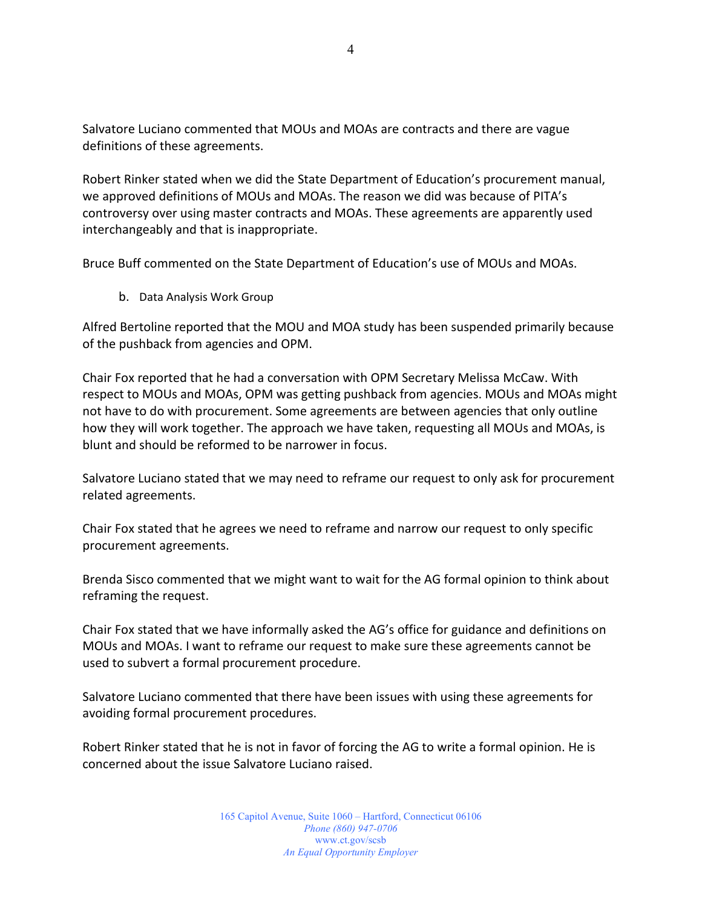Salvatore Luciano commented that MOUs and MOAs are contracts and there are vague definitions of these agreements.

Robert Rinker stated when we did the State Department of Education's procurement manual, we approved definitions of MOUs and MOAs. The reason we did was because of PITA's controversy over using master contracts and MOAs. These agreements are apparently used interchangeably and that is inappropriate.

Bruce Buff commented on the State Department of Education's use of MOUs and MOAs.

b. Data Analysis Work Group

Alfred Bertoline reported that the MOU and MOA study has been suspended primarily because of the pushback from agencies and OPM.

Chair Fox reported that he had a conversation with OPM Secretary Melissa McCaw. With respect to MOUs and MOAs, OPM was getting pushback from agencies. MOUs and MOAs might not have to do with procurement. Some agreements are between agencies that only outline how they will work together. The approach we have taken, requesting all MOUs and MOAs, is blunt and should be reformed to be narrower in focus.

Salvatore Luciano stated that we may need to reframe our request to only ask for procurement related agreements.

Chair Fox stated that he agrees we need to reframe and narrow our request to only specific procurement agreements.

Brenda Sisco commented that we might want to wait for the AG formal opinion to think about reframing the request.

Chair Fox stated that we have informally asked the AG's office for guidance and definitions on MOUs and MOAs. I want to reframe our request to make sure these agreements cannot be used to subvert a formal procurement procedure.

Salvatore Luciano commented that there have been issues with using these agreements for avoiding formal procurement procedures.

Robert Rinker stated that he is not in favor of forcing the AG to write a formal opinion. He is concerned about the issue Salvatore Luciano raised.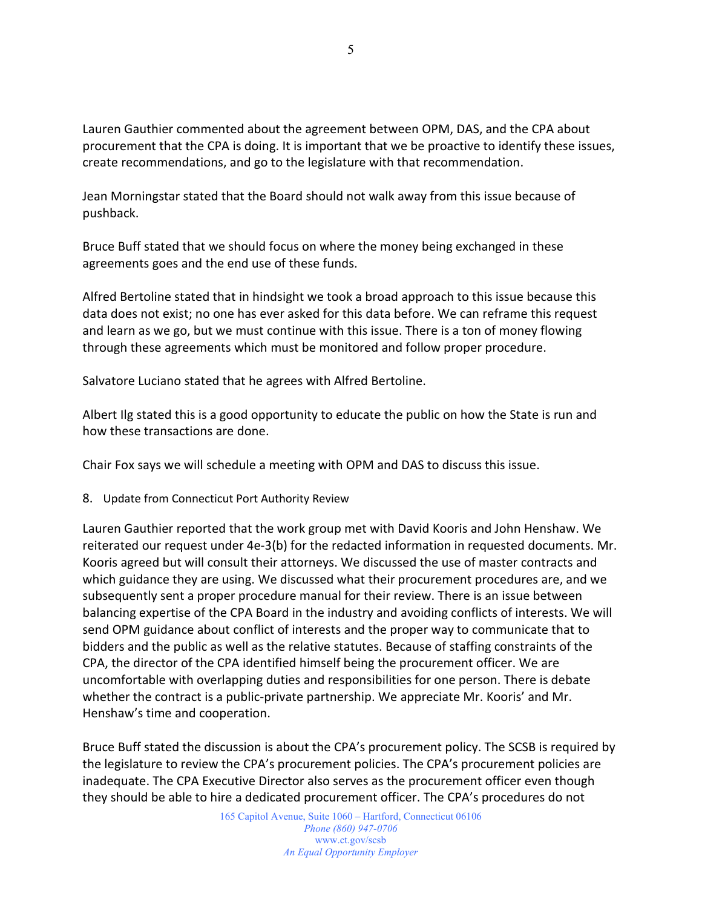Lauren Gauthier commented about the agreement between OPM, DAS, and the CPA about procurement that the CPA is doing. It is important that we be proactive to identify these issues, create recommendations, and go to the legislature with that recommendation.

Jean Morningstar stated that the Board should not walk away from this issue because of pushback.

Bruce Buff stated that we should focus on where the money being exchanged in these agreements goes and the end use of these funds.

Alfred Bertoline stated that in hindsight we took a broad approach to this issue because this data does not exist; no one has ever asked for this data before. We can reframe this request and learn as we go, but we must continue with this issue. There is a ton of money flowing through these agreements which must be monitored and follow proper procedure.

Salvatore Luciano stated that he agrees with Alfred Bertoline.

Albert Ilg stated this is a good opportunity to educate the public on how the State is run and how these transactions are done.

Chair Fox says we will schedule a meeting with OPM and DAS to discuss this issue.

8. Update from Connecticut Port Authority Review

Lauren Gauthier reported that the work group met with David Kooris and John Henshaw. We reiterated our request under 4e-3(b) for the redacted information in requested documents. Mr. Kooris agreed but will consult their attorneys. We discussed the use of master contracts and which guidance they are using. We discussed what their procurement procedures are, and we subsequently sent a proper procedure manual for their review. There is an issue between balancing expertise of the CPA Board in the industry and avoiding conflicts of interests. We will send OPM guidance about conflict of interests and the proper way to communicate that to bidders and the public as well as the relative statutes. Because of staffing constraints of the CPA, the director of the CPA identified himself being the procurement officer. We are uncomfortable with overlapping duties and responsibilities for one person. There is debate whether the contract is a public-private partnership. We appreciate Mr. Kooris' and Mr. Henshaw's time and cooperation.

Bruce Buff stated the discussion is about the CPA's procurement policy. The SCSB is required by the legislature to review the CPA's procurement policies. The CPA's procurement policies are inadequate. The CPA Executive Director also serves as the procurement officer even though they should be able to hire a dedicated procurement officer. The CPA's procedures do not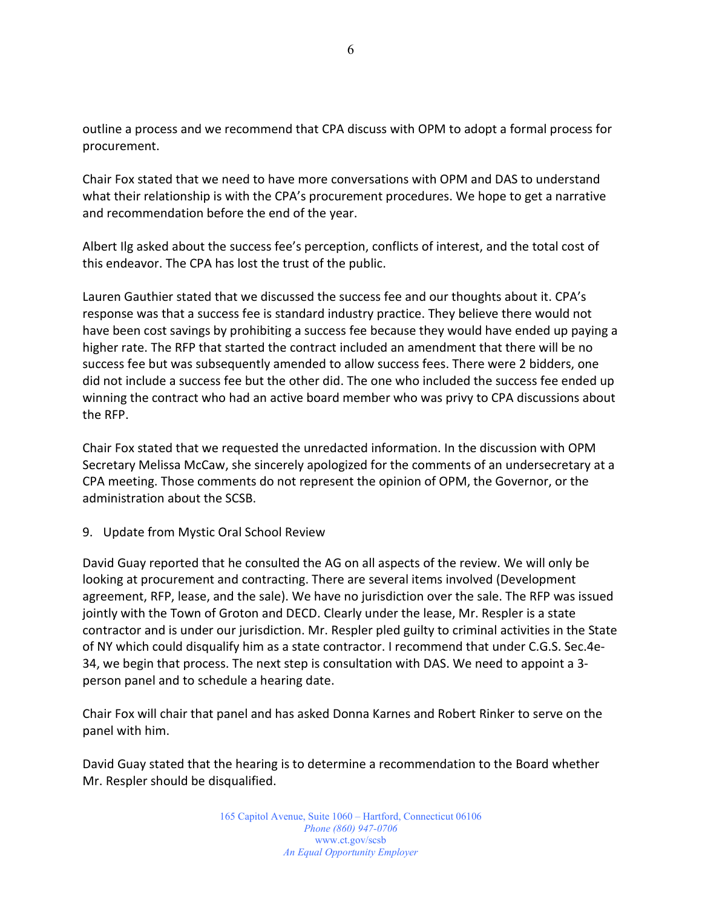outline a process and we recommend that CPA discuss with OPM to adopt a formal process for procurement.

Chair Fox stated that we need to have more conversations with OPM and DAS to understand what their relationship is with the CPA's procurement procedures. We hope to get a narrative and recommendation before the end of the year.

Albert Ilg asked about the success fee's perception, conflicts of interest, and the total cost of this endeavor. The CPA has lost the trust of the public.

Lauren Gauthier stated that we discussed the success fee and our thoughts about it. CPA's response was that a success fee is standard industry practice. They believe there would not have been cost savings by prohibiting a success fee because they would have ended up paying a higher rate. The RFP that started the contract included an amendment that there will be no success fee but was subsequently amended to allow success fees. There were 2 bidders, one did not include a success fee but the other did. The one who included the success fee ended up winning the contract who had an active board member who was privy to CPA discussions about the RFP.

Chair Fox stated that we requested the unredacted information. In the discussion with OPM Secretary Melissa McCaw, she sincerely apologized for the comments of an undersecretary at a CPA meeting. Those comments do not represent the opinion of OPM, the Governor, or the administration about the SCSB.

## 9. Update from Mystic Oral School Review

David Guay reported that he consulted the AG on all aspects of the review. We will only be looking at procurement and contracting. There are several items involved (Development agreement, RFP, lease, and the sale). We have no jurisdiction over the sale. The RFP was issued jointly with the Town of Groton and DECD. Clearly under the lease, Mr. Respler is a state contractor and is under our jurisdiction. Mr. Respler pled guilty to criminal activities in the State of NY which could disqualify him as a state contractor. I recommend that under C.G.S. Sec.4e-34, we begin that process. The next step is consultation with DAS. We need to appoint a 3 person panel and to schedule a hearing date.

Chair Fox will chair that panel and has asked Donna Karnes and Robert Rinker to serve on the panel with him.

David Guay stated that the hearing is to determine a recommendation to the Board whether Mr. Respler should be disqualified.